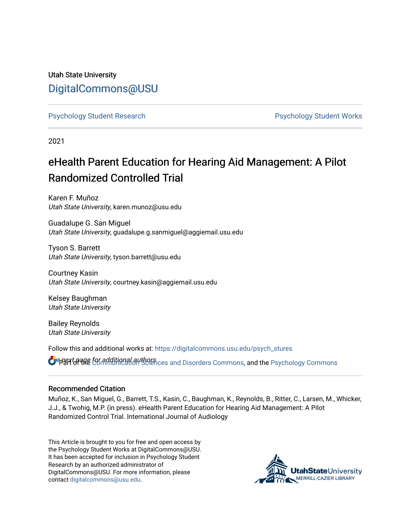# Utah State University [DigitalCommons@USU](https://digitalcommons.usu.edu/)

[Psychology Student Research](https://digitalcommons.usu.edu/psych_stures) [Psychology Student Works](https://digitalcommons.usu.edu/psych_student) 

2021

# eHealth Parent Education for Hearing Aid Management: A Pilot Randomized Controlled Trial

Karen F. Muñoz Utah State University, karen.munoz@usu.edu

Guadalupe G. San Miguel Utah State University, guadalupe.g.sanmiguel@aggiemail.usu.edu

Tyson S. Barrett Utah State University, tyson.barrett@usu.edu

Courtney Kasin Utah State University, courtney.kasin@aggiemail.usu.edu

Kelsey Baughman Utah State University

Bailey Reynolds Utah State University

Follow this and additional works at: [https://digitalcommons.usu.edu/psych\\_stures](https://digitalcommons.usu.edu/psych_stures?utm_source=digitalcommons.usu.edu%2Fpsych_stures%2F53&utm_medium=PDF&utm_campaign=PDFCoverPages) 

**ं** अधिर जिला के लिए additional authors ces and Disorders Commons, and the Psychology Commons

#### Recommended Citation

Muñoz, K., San Miguel, G., Barrett, T.S., Kasin, C., Baughman, K., Reynolds, B., Ritter, C., Larsen, M., Whicker, J.J., & Twohig, M.P. (in press). eHealth Parent Education for Hearing Aid Management: A Pilot Randomized Control Trial. International Journal of Audiology

This Article is brought to you for free and open access by the Psychology Student Works at DigitalCommons@USU. It has been accepted for inclusion in Psychology Student Research by an authorized administrator of DigitalCommons@USU. For more information, please contact [digitalcommons@usu.edu](mailto:digitalcommons@usu.edu).

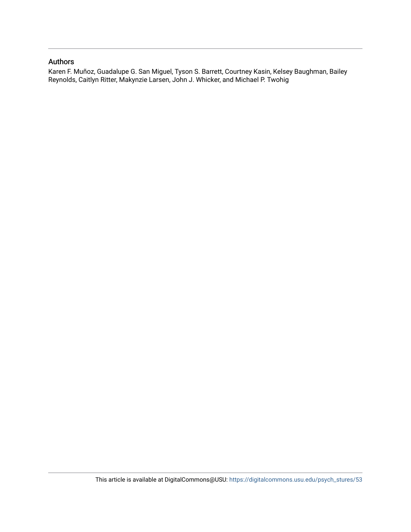#### Authors

Karen F. Muñoz, Guadalupe G. San Miguel, Tyson S. Barrett, Courtney Kasin, Kelsey Baughman, Bailey Reynolds, Caitlyn Ritter, Makynzie Larsen, John J. Whicker, and Michael P. Twohig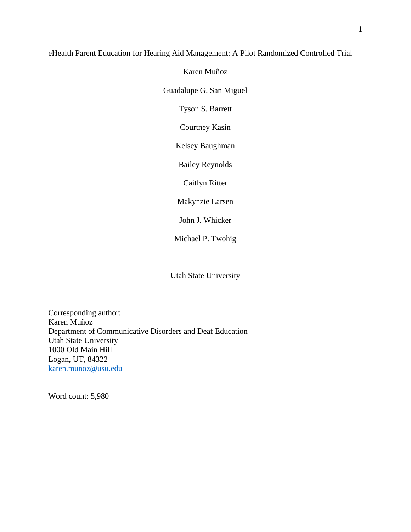## eHealth Parent Education for Hearing Aid Management: A Pilot Randomized Controlled Trial

Karen Muñoz Guadalupe G. San Miguel Tyson S. Barrett Courtney Kasin Kelsey Baughman Bailey Reynolds Caitlyn Ritter Makynzie Larsen John J. Whicker

Michael P. Twohig

Utah State University

Corresponding author: Karen Muñoz Department of Communicative Disorders and Deaf Education Utah State University 1000 Old Main Hill Logan, UT, 84322 [karen.munoz@usu.edu](mailto:clarissa.ong@usu.edu)

Word count: 5,980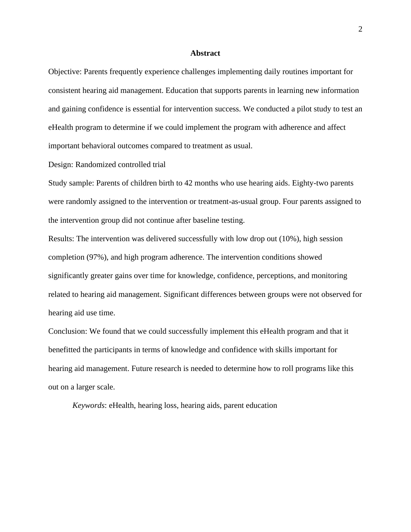#### **Abstract**

Objective: Parents frequently experience challenges implementing daily routines important for consistent hearing aid management. Education that supports parents in learning new information and gaining confidence is essential for intervention success. We conducted a pilot study to test an eHealth program to determine if we could implement the program with adherence and affect important behavioral outcomes compared to treatment as usual.

Design: Randomized controlled trial

Study sample: Parents of children birth to 42 months who use hearing aids. Eighty-two parents were randomly assigned to the intervention or treatment-as-usual group. Four parents assigned to the intervention group did not continue after baseline testing.

Results: The intervention was delivered successfully with low drop out (10%), high session completion (97%), and high program adherence. The intervention conditions showed significantly greater gains over time for knowledge, confidence, perceptions, and monitoring related to hearing aid management. Significant differences between groups were not observed for hearing aid use time.

Conclusion: We found that we could successfully implement this eHealth program and that it benefitted the participants in terms of knowledge and confidence with skills important for hearing aid management. Future research is needed to determine how to roll programs like this out on a larger scale.

*Keywords*: eHealth, hearing loss, hearing aids, parent education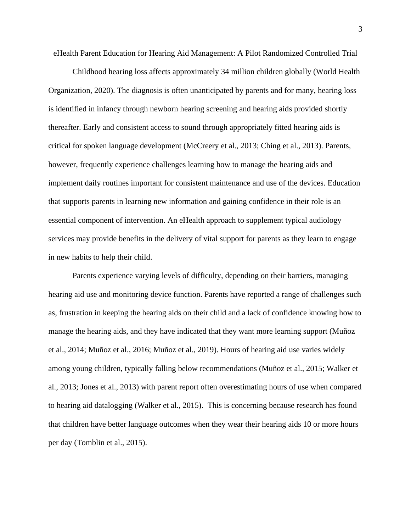eHealth Parent Education for Hearing Aid Management: A Pilot Randomized Controlled Trial

Childhood hearing loss affects approximately 34 million children globally (World Health Organization, 2020). The diagnosis is often unanticipated by parents and for many, hearing loss is identified in infancy through newborn hearing screening and hearing aids provided shortly thereafter. Early and consistent access to sound through appropriately fitted hearing aids is critical for spoken language development (McCreery et al., 2013; Ching et al., 2013). Parents, however, frequently experience challenges learning how to manage the hearing aids and implement daily routines important for consistent maintenance and use of the devices. Education that supports parents in learning new information and gaining confidence in their role is an essential component of intervention. An eHealth approach to supplement typical audiology services may provide benefits in the delivery of vital support for parents as they learn to engage in new habits to help their child.

Parents experience varying levels of difficulty, depending on their barriers, managing hearing aid use and monitoring device function. Parents have reported a range of challenges such as, frustration in keeping the hearing aids on their child and a lack of confidence knowing how to manage the hearing aids, and they have indicated that they want more learning support (Muñoz et al., 2014; Muñoz et al., 2016; Muñoz et al., 2019). Hours of hearing aid use varies widely among young children, typically falling below recommendations (Muñoz et al., 2015; Walker et al., 2013; Jones et al., 2013) with parent report often overestimating hours of use when compared to hearing aid datalogging (Walker et al., 2015). This is concerning because research has found that children have better language outcomes when they wear their hearing aids 10 or more hours per day (Tomblin et al., 2015).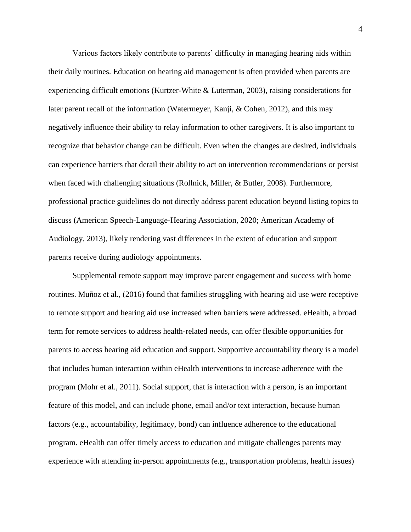Various factors likely contribute to parents' difficulty in managing hearing aids within their daily routines. Education on hearing aid management is often provided when parents are experiencing difficult emotions (Kurtzer-White & Luterman, 2003), raising considerations for later parent recall of the information (Watermeyer, Kanji, & Cohen, 2012), and this may negatively influence their ability to relay information to other caregivers. It is also important to recognize that behavior change can be difficult. Even when the changes are desired, individuals can experience barriers that derail their ability to act on intervention recommendations or persist when faced with challenging situations (Rollnick, Miller, & Butler, 2008). Furthermore, professional practice guidelines do not directly address parent education beyond listing topics to discuss (American Speech-Language-Hearing Association, 2020; American Academy of Audiology, 2013), likely rendering vast differences in the extent of education and support parents receive during audiology appointments.

Supplemental remote support may improve parent engagement and success with home routines. Muñoz et al., (2016) found that families struggling with hearing aid use were receptive to remote support and hearing aid use increased when barriers were addressed. eHealth, a broad term for remote services to address health-related needs, can offer flexible opportunities for parents to access hearing aid education and support. Supportive accountability theory is a model that includes human interaction within eHealth interventions to increase adherence with the program (Mohr et al., 2011). Social support, that is interaction with a person, is an important feature of this model, and can include phone, email and/or text interaction, because human factors (e.g., accountability, legitimacy, bond) can influence adherence to the educational program. eHealth can offer timely access to education and mitigate challenges parents may experience with attending in-person appointments (e.g., transportation problems, health issues)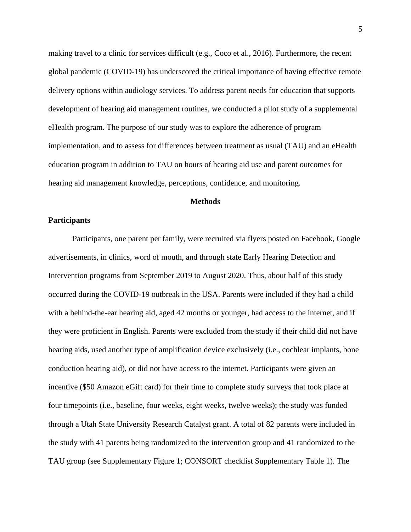making travel to a clinic for services difficult (e.g., Coco et al., 2016). Furthermore, the recent global pandemic (COVID-19) has underscored the critical importance of having effective remote delivery options within audiology services. To address parent needs for education that supports development of hearing aid management routines, we conducted a pilot study of a supplemental eHealth program. The purpose of our study was to explore the adherence of program implementation, and to assess for differences between treatment as usual (TAU) and an eHealth education program in addition to TAU on hours of hearing aid use and parent outcomes for hearing aid management knowledge, perceptions, confidence, and monitoring.

#### **Methods**

#### **Participants**

Participants, one parent per family, were recruited via flyers posted on Facebook, Google advertisements, in clinics, word of mouth, and through state Early Hearing Detection and Intervention programs from September 2019 to August 2020. Thus, about half of this study occurred during the COVID-19 outbreak in the USA. Parents were included if they had a child with a behind-the-ear hearing aid, aged 42 months or younger, had access to the internet, and if they were proficient in English. Parents were excluded from the study if their child did not have hearing aids, used another type of amplification device exclusively (i.e., cochlear implants, bone conduction hearing aid), or did not have access to the internet. Participants were given an incentive (\$50 Amazon eGift card) for their time to complete study surveys that took place at four timepoints (i.e., baseline, four weeks, eight weeks, twelve weeks); the study was funded through a Utah State University Research Catalyst grant. A total of 82 parents were included in the study with 41 parents being randomized to the intervention group and 41 randomized to the TAU group (see Supplementary Figure 1; CONSORT checklist Supplementary Table 1). The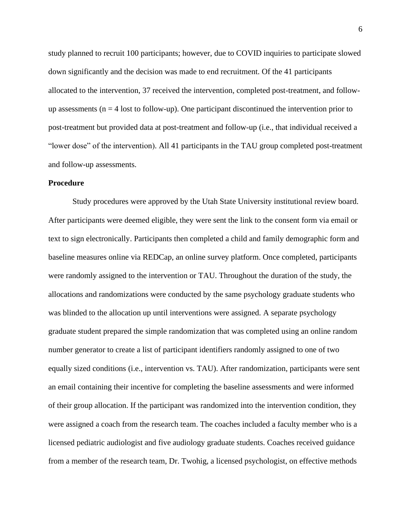study planned to recruit 100 participants; however, due to COVID inquiries to participate slowed down significantly and the decision was made to end recruitment. Of the 41 participants allocated to the intervention, 37 received the intervention, completed post-treatment, and followup assessments ( $n = 4$  lost to follow-up). One participant discontinued the intervention prior to post-treatment but provided data at post-treatment and follow-up (i.e., that individual received a "lower dose" of the intervention). All 41 participants in the TAU group completed post-treatment and follow-up assessments.

#### **Procedure**

Study procedures were approved by the Utah State University institutional review board. After participants were deemed eligible, they were sent the link to the consent form via email or text to sign electronically. Participants then completed a child and family demographic form and baseline measures online via REDCap, an online survey platform. Once completed, participants were randomly assigned to the intervention or TAU. Throughout the duration of the study, the allocations and randomizations were conducted by the same psychology graduate students who was blinded to the allocation up until interventions were assigned. A separate psychology graduate student prepared the simple randomization that was completed using an online random number generator to create a list of participant identifiers randomly assigned to one of two equally sized conditions (i.e., intervention vs. TAU). After randomization, participants were sent an email containing their incentive for completing the baseline assessments and were informed of their group allocation. If the participant was randomized into the intervention condition, they were assigned a coach from the research team. The coaches included a faculty member who is a licensed pediatric audiologist and five audiology graduate students. Coaches received guidance from a member of the research team, Dr. Twohig, a licensed psychologist, on effective methods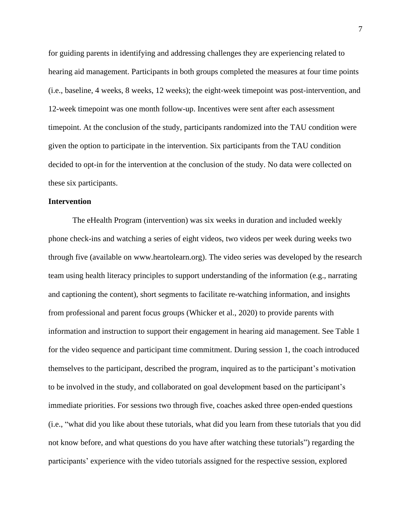for guiding parents in identifying and addressing challenges they are experiencing related to hearing aid management. Participants in both groups completed the measures at four time points (i.e., baseline, 4 weeks, 8 weeks, 12 weeks); the eight-week timepoint was post-intervention, and 12-week timepoint was one month follow-up. Incentives were sent after each assessment timepoint. At the conclusion of the study, participants randomized into the TAU condition were given the option to participate in the intervention. Six participants from the TAU condition decided to opt-in for the intervention at the conclusion of the study. No data were collected on these six participants.

#### **Intervention**

The eHealth Program (intervention) was six weeks in duration and included weekly phone check-ins and watching a series of eight videos, two videos per week during weeks two through five (available on www.heartolearn.org). The video series was developed by the research team using health literacy principles to support understanding of the information (e.g., narrating and captioning the content), short segments to facilitate re-watching information, and insights from professional and parent focus groups (Whicker et al., 2020) to provide parents with information and instruction to support their engagement in hearing aid management. See Table 1 for the video sequence and participant time commitment. During session 1, the coach introduced themselves to the participant, described the program, inquired as to the participant's motivation to be involved in the study, and collaborated on goal development based on the participant's immediate priorities. For sessions two through five, coaches asked three open-ended questions (i.e., "what did you like about these tutorials, what did you learn from these tutorials that you did not know before, and what questions do you have after watching these tutorials") regarding the participants' experience with the video tutorials assigned for the respective session, explored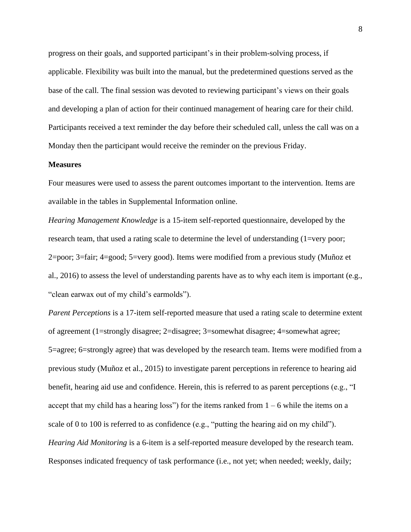progress on their goals, and supported participant's in their problem-solving process, if applicable. Flexibility was built into the manual, but the predetermined questions served as the base of the call. The final session was devoted to reviewing participant's views on their goals and developing a plan of action for their continued management of hearing care for their child. Participants received a text reminder the day before their scheduled call, unless the call was on a Monday then the participant would receive the reminder on the previous Friday.

#### **Measures**

Four measures were used to assess the parent outcomes important to the intervention. Items are available in the tables in Supplemental Information online.

*Hearing Management Knowledge* is a 15-item self-reported questionnaire, developed by the research team, that used a rating scale to determine the level of understanding (1=very poor; 2=poor; 3=fair; 4=good; 5=very good). Items were modified from a previous study (Muñoz et al., 2016) to assess the level of understanding parents have as to why each item is important (e.g., "clean earwax out of my child's earmolds").

*Parent Perceptions* is a 17-item self-reported measure that used a rating scale to determine extent of agreement (1=strongly disagree; 2=disagree; 3=somewhat disagree; 4=somewhat agree; 5=agree; 6=strongly agree) that was developed by the research team. Items were modified from a previous study (Muñoz et al., 2015) to investigate parent perceptions in reference to hearing aid benefit, hearing aid use and confidence. Herein, this is referred to as parent perceptions (e.g., "I accept that my child has a hearing loss") for the items ranked from  $1 - 6$  while the items on a scale of 0 to 100 is referred to as confidence (e.g., "putting the hearing aid on my child"). *Hearing Aid Monitoring* is a 6-item is a self-reported measure developed by the research team. Responses indicated frequency of task performance (i.e., not yet; when needed; weekly, daily;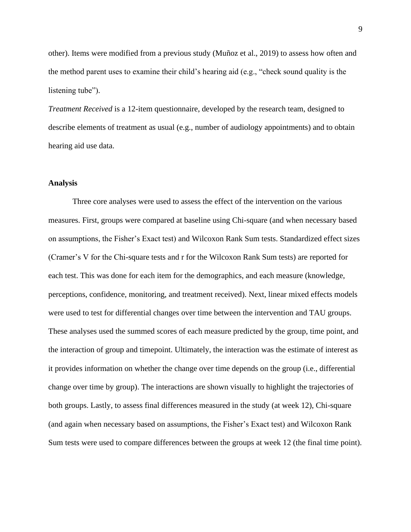other). Items were modified from a previous study (Muñoz et al., 2019) to assess how often and the method parent uses to examine their child's hearing aid (e.g., "check sound quality is the listening tube").

*Treatment Received* is a 12-item questionnaire, developed by the research team, designed to describe elements of treatment as usual (e.g., number of audiology appointments) and to obtain hearing aid use data.

#### **Analysis**

Three core analyses were used to assess the effect of the intervention on the various measures. First, groups were compared at baseline using Chi-square (and when necessary based on assumptions, the Fisher's Exact test) and Wilcoxon Rank Sum tests. Standardized effect sizes (Cramer's V for the Chi-square tests and r for the Wilcoxon Rank Sum tests) are reported for each test. This was done for each item for the demographics, and each measure (knowledge, perceptions, confidence, monitoring, and treatment received). Next, linear mixed effects models were used to test for differential changes over time between the intervention and TAU groups. These analyses used the summed scores of each measure predicted by the group, time point, and the interaction of group and timepoint. Ultimately, the interaction was the estimate of interest as it provides information on whether the change over time depends on the group (i.e., differential change over time by group). The interactions are shown visually to highlight the trajectories of both groups. Lastly, to assess final differences measured in the study (at week 12), Chi-square (and again when necessary based on assumptions, the Fisher's Exact test) and Wilcoxon Rank Sum tests were used to compare differences between the groups at week 12 (the final time point).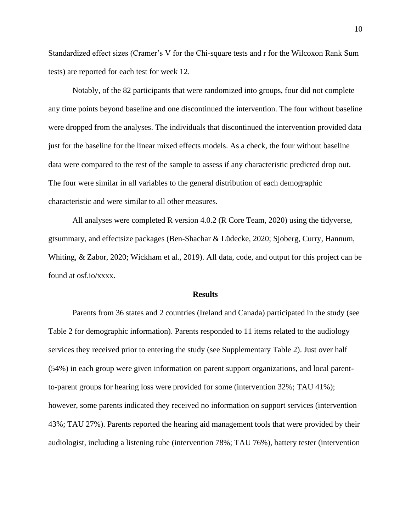Standardized effect sizes (Cramer's V for the Chi-square tests and r for the Wilcoxon Rank Sum tests) are reported for each test for week 12.

Notably, of the 82 participants that were randomized into groups, four did not complete any time points beyond baseline and one discontinued the intervention. The four without baseline were dropped from the analyses. The individuals that discontinued the intervention provided data just for the baseline for the linear mixed effects models. As a check, the four without baseline data were compared to the rest of the sample to assess if any characteristic predicted drop out. The four were similar in all variables to the general distribution of each demographic characteristic and were similar to all other measures.

All analyses were completed R version 4.0.2 (R Core Team, 2020) using the tidyverse, gtsummary, and effectsize packages (Ben-Shachar & Lüdecke, 2020; Sjoberg, Curry, Hannum, Whiting, & Zabor, 2020; Wickham et al., 2019). All data, code, and output for this project can be found at osf.io/xxxx.

#### **Results**

Parents from 36 states and 2 countries (Ireland and Canada) participated in the study (see Table 2 for demographic information). Parents responded to 11 items related to the audiology services they received prior to entering the study (see Supplementary Table 2). Just over half (54%) in each group were given information on parent support organizations, and local parentto-parent groups for hearing loss were provided for some (intervention 32%; TAU 41%); however, some parents indicated they received no information on support services (intervention 43%; TAU 27%). Parents reported the hearing aid management tools that were provided by their audiologist, including a listening tube (intervention 78%; TAU 76%), battery tester (intervention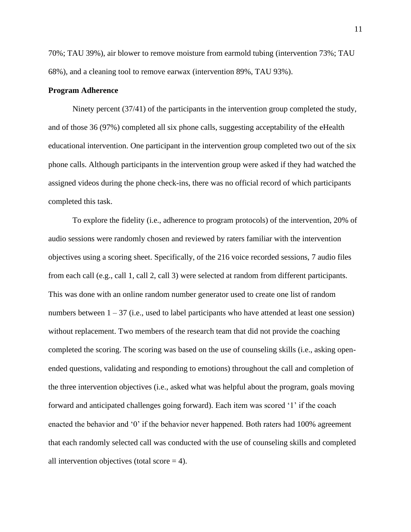70%; TAU 39%), air blower to remove moisture from earmold tubing (intervention 73%; TAU 68%), and a cleaning tool to remove earwax (intervention 89%, TAU 93%).

#### **Program Adherence**

Ninety percent (37/41) of the participants in the intervention group completed the study, and of those 36 (97%) completed all six phone calls, suggesting acceptability of the eHealth educational intervention. One participant in the intervention group completed two out of the six phone calls. Although participants in the intervention group were asked if they had watched the assigned videos during the phone check-ins, there was no official record of which participants completed this task.

To explore the fidelity (i.e., adherence to program protocols) of the intervention, 20% of audio sessions were randomly chosen and reviewed by raters familiar with the intervention objectives using a scoring sheet. Specifically, of the 216 voice recorded sessions, 7 audio files from each call (e.g., call 1, call 2, call 3) were selected at random from different participants. This was done with an online random number generator used to create one list of random numbers between  $1 - 37$  (i.e., used to label participants who have attended at least one session) without replacement. Two members of the research team that did not provide the coaching completed the scoring. The scoring was based on the use of counseling skills (i.e., asking openended questions, validating and responding to emotions) throughout the call and completion of the three intervention objectives (i.e., asked what was helpful about the program, goals moving forward and anticipated challenges going forward). Each item was scored '1' if the coach enacted the behavior and '0' if the behavior never happened. Both raters had 100% agreement that each randomly selected call was conducted with the use of counseling skills and completed all intervention objectives (total score  $=$  4).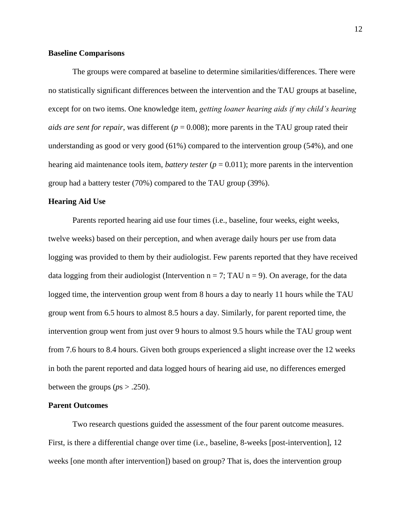#### **Baseline Comparisons**

The groups were compared at baseline to determine similarities/differences. There were no statistically significant differences between the intervention and the TAU groups at baseline, except for on two items. One knowledge item, *getting loaner hearing aids if my child's hearing aids are sent for repair*, was different ( $p = 0.008$ ); more parents in the TAU group rated their understanding as good or very good (61%) compared to the intervention group (54%), and one hearing aid maintenance tools item, *battery tester* ( $p = 0.011$ ); more parents in the intervention group had a battery tester (70%) compared to the TAU group (39%).

#### **Hearing Aid Use**

Parents reported hearing aid use four times (i.e., baseline, four weeks, eight weeks, twelve weeks) based on their perception, and when average daily hours per use from data logging was provided to them by their audiologist. Few parents reported that they have received data logging from their audiologist (Intervention  $n = 7$ ; TAU  $n = 9$ ). On average, for the data logged time, the intervention group went from 8 hours a day to nearly 11 hours while the TAU group went from 6.5 hours to almost 8.5 hours a day. Similarly, for parent reported time, the intervention group went from just over 9 hours to almost 9.5 hours while the TAU group went from 7.6 hours to 8.4 hours. Given both groups experienced a slight increase over the 12 weeks in both the parent reported and data logged hours of hearing aid use, no differences emerged between the groups ( $ps > .250$ ).

#### **Parent Outcomes**

Two research questions guided the assessment of the four parent outcome measures. First, is there a differential change over time (i.e., baseline, 8-weeks [post-intervention], 12 weeks [one month after intervention]) based on group? That is, does the intervention group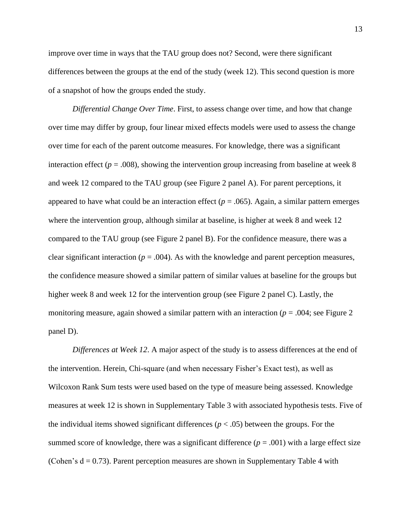improve over time in ways that the TAU group does not? Second, were there significant differences between the groups at the end of the study (week 12). This second question is more of a snapshot of how the groups ended the study.

*Differential Change Over Time*. First, to assess change over time, and how that change over time may differ by group, four linear mixed effects models were used to assess the change over time for each of the parent outcome measures. For knowledge, there was a significant interaction effect  $(p = .008)$ , showing the intervention group increasing from baseline at week 8 and week 12 compared to the TAU group (see Figure 2 panel A). For parent perceptions, it appeared to have what could be an interaction effect ( $p = .065$ ). Again, a similar pattern emerges where the intervention group, although similar at baseline, is higher at week 8 and week 12 compared to the TAU group (see Figure 2 panel B). For the confidence measure, there was a clear significant interaction ( $p = .004$ ). As with the knowledge and parent perception measures, the confidence measure showed a similar pattern of similar values at baseline for the groups but higher week 8 and week 12 for the intervention group (see Figure 2 panel C). Lastly, the monitoring measure, again showed a similar pattern with an interaction ( $p = .004$ ; see Figure 2 panel D).

*Differences at Week 12*. A major aspect of the study is to assess differences at the end of the intervention. Herein, Chi-square (and when necessary Fisher's Exact test), as well as Wilcoxon Rank Sum tests were used based on the type of measure being assessed. Knowledge measures at week 12 is shown in Supplementary Table 3 with associated hypothesis tests. Five of the individual items showed significant differences  $(p < .05)$  between the groups. For the summed score of knowledge, there was a significant difference  $(p = .001)$  with a large effect size (Cohen's  $d = 0.73$ ). Parent perception measures are shown in Supplementary Table 4 with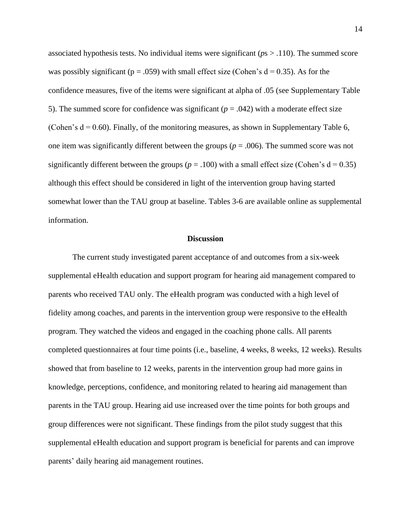associated hypothesis tests. No individual items were significant (*p*s > .110). The summed score was possibly significant ( $p = .059$ ) with small effect size (Cohen's  $d = 0.35$ ). As for the confidence measures, five of the items were significant at alpha of .05 (see Supplementary Table 5). The summed score for confidence was significant ( $p = .042$ ) with a moderate effect size (Cohen's  $d = 0.60$ ). Finally, of the monitoring measures, as shown in Supplementary Table 6, one item was significantly different between the groups ( $p = .006$ ). The summed score was not significantly different between the groups ( $p = .100$ ) with a small effect size (Cohen's  $d = 0.35$ ) although this effect should be considered in light of the intervention group having started somewhat lower than the TAU group at baseline. Tables 3-6 are available online as supplemental information.

#### **Discussion**

The current study investigated parent acceptance of and outcomes from a six-week supplemental eHealth education and support program for hearing aid management compared to parents who received TAU only. The eHealth program was conducted with a high level of fidelity among coaches, and parents in the intervention group were responsive to the eHealth program. They watched the videos and engaged in the coaching phone calls. All parents completed questionnaires at four time points (i.e., baseline, 4 weeks, 8 weeks, 12 weeks). Results showed that from baseline to 12 weeks, parents in the intervention group had more gains in knowledge, perceptions, confidence, and monitoring related to hearing aid management than parents in the TAU group. Hearing aid use increased over the time points for both groups and group differences were not significant. These findings from the pilot study suggest that this supplemental eHealth education and support program is beneficial for parents and can improve parents' daily hearing aid management routines.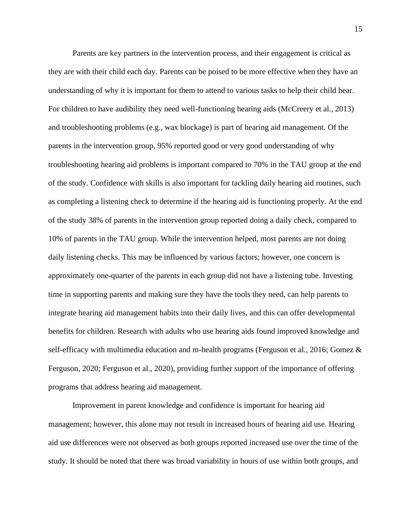Parents are key partners in the intervention process, and their engagement is critical as they are with their child each day. Parents can be poised to be more effective when they have an understanding of why it is important for them to attend to various tasks to help their child hear. For children to have audibility they need well-functioning hearing aids (McCreery et al., 2013) and troubleshooting problems (e.g., wax blockage) is part of hearing aid management. Of the parents in the intervention group, 95% reported good or very good understanding of why troubleshooting hearing aid problems is important compared to 70% in the TAU group at the end of the study. Confidence with skills is also important for tackling daily hearing aid routines, such as completing a listening check to determine if the hearing aid is functioning properly. At the end of the study 38% of parents in the intervention group reported doing a daily check, compared to 10% of parents in the TAU group. While the intervention helped, most parents are not doing daily listening checks. This may be influenced by various factors; however, one concern is approximately one-quarter of the parents in each group did not have a listening tube. Investing time in supporting parents and making sure they have the tools they need, can help parents to integrate hearing aid management habits into their daily lives, and this can offer developmental benefits for children. Research with adults who use hearing aids found improved knowledge and self-efficacy with multimedia education and m-health programs (Ferguson et al., 2016; Gomez & Ferguson, 2020; Ferguson et al., 2020), providing further support of the importance of offering programs that address hearing aid management.

Improvement in parent knowledge and confidence is important for hearing aid management; however, this alone may not result in increased hours of hearing aid use. Hearing aid use differences were not observed as both groups reported increased use over the time of the study. It should be noted that there was broad variability in hours of use within both groups, and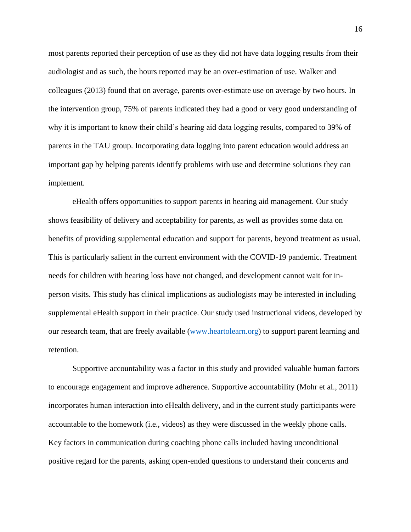most parents reported their perception of use as they did not have data logging results from their audiologist and as such, the hours reported may be an over-estimation of use. Walker and colleagues (2013) found that on average, parents over-estimate use on average by two hours. In the intervention group, 75% of parents indicated they had a good or very good understanding of why it is important to know their child's hearing aid data logging results, compared to 39% of parents in the TAU group. Incorporating data logging into parent education would address an important gap by helping parents identify problems with use and determine solutions they can implement.

eHealth offers opportunities to support parents in hearing aid management. Our study shows feasibility of delivery and acceptability for parents, as well as provides some data on benefits of providing supplemental education and support for parents, beyond treatment as usual. This is particularly salient in the current environment with the COVID-19 pandemic. Treatment needs for children with hearing loss have not changed, and development cannot wait for inperson visits. This study has clinical implications as audiologists may be interested in including supplemental eHealth support in their practice. Our study used instructional videos, developed by our research team, that are freely available [\(www.heartolearn.org\)](http://www.heartolearn.org/) to support parent learning and retention.

Supportive accountability was a factor in this study and provided valuable human factors to encourage engagement and improve adherence. Supportive accountability (Mohr et al., 2011) incorporates human interaction into eHealth delivery, and in the current study participants were accountable to the homework (i.e., videos) as they were discussed in the weekly phone calls. Key factors in communication during coaching phone calls included having unconditional positive regard for the parents, asking open-ended questions to understand their concerns and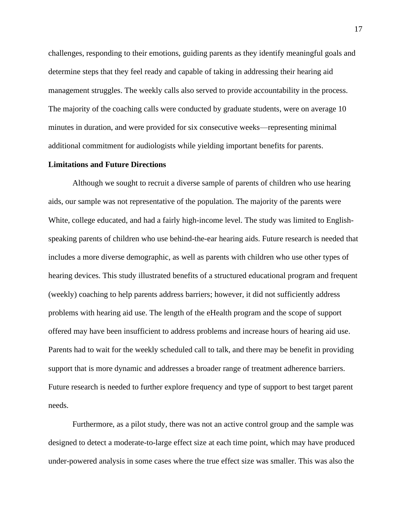challenges, responding to their emotions, guiding parents as they identify meaningful goals and determine steps that they feel ready and capable of taking in addressing their hearing aid management struggles. The weekly calls also served to provide accountability in the process. The majority of the coaching calls were conducted by graduate students, were on average 10 minutes in duration, and were provided for six consecutive weeks—representing minimal additional commitment for audiologists while yielding important benefits for parents.

#### **Limitations and Future Directions**

Although we sought to recruit a diverse sample of parents of children who use hearing aids, our sample was not representative of the population. The majority of the parents were White, college educated, and had a fairly high-income level. The study was limited to Englishspeaking parents of children who use behind-the-ear hearing aids. Future research is needed that includes a more diverse demographic, as well as parents with children who use other types of hearing devices. This study illustrated benefits of a structured educational program and frequent (weekly) coaching to help parents address barriers; however, it did not sufficiently address problems with hearing aid use. The length of the eHealth program and the scope of support offered may have been insufficient to address problems and increase hours of hearing aid use. Parents had to wait for the weekly scheduled call to talk, and there may be benefit in providing support that is more dynamic and addresses a broader range of treatment adherence barriers. Future research is needed to further explore frequency and type of support to best target parent needs.

Furthermore, as a pilot study, there was not an active control group and the sample was designed to detect a moderate-to-large effect size at each time point, which may have produced under-powered analysis in some cases where the true effect size was smaller. This was also the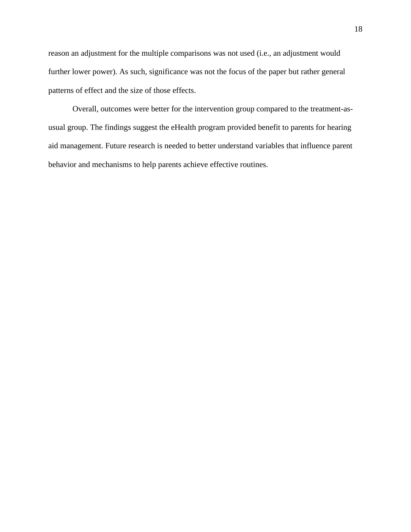reason an adjustment for the multiple comparisons was not used (i.e., an adjustment would further lower power). As such, significance was not the focus of the paper but rather general patterns of effect and the size of those effects.

Overall, outcomes were better for the intervention group compared to the treatment-asusual group. The findings suggest the eHealth program provided benefit to parents for hearing aid management. Future research is needed to better understand variables that influence parent behavior and mechanisms to help parents achieve effective routines.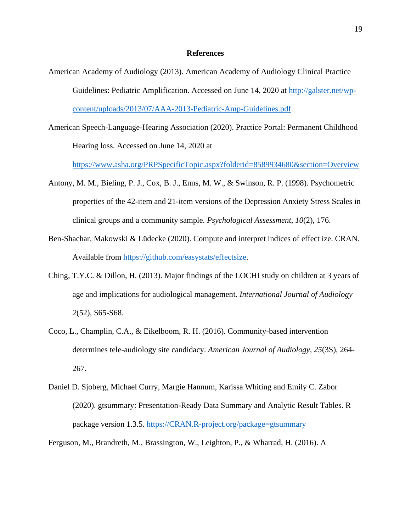#### **References**

- American Academy of Audiology (2013). American Academy of Audiology Clinical Practice Guidelines: Pediatric Amplification. Accessed on June 14, 2020 at [http://galster.net/wp](http://galster.net/wp-content/uploads/2013/07/AAA-2013-Pediatric-Amp-Guidelines.pdf)[content/uploads/2013/07/AAA-2013-Pediatric-Amp-Guidelines.pdf](http://galster.net/wp-content/uploads/2013/07/AAA-2013-Pediatric-Amp-Guidelines.pdf)
- American Speech-Language-Hearing Association (2020). Practice Portal: Permanent Childhood Hearing loss. Accessed on June 14, 2020 at

[https://www.asha.org/PRPSpecificTopic.aspx?folderid=8589934680&section=Overview](https://www.asha.org/PRPSpecificTopic.aspx?folderid=8589934680§ion=Overview)

- Antony, M. M., Bieling, P. J., Cox, B. J., Enns, M. W., & Swinson, R. P. (1998). Psychometric properties of the 42-item and 21-item versions of the Depression Anxiety Stress Scales in clinical groups and a community sample. *Psychological Assessment*, *10*(2), 176.
- Ben-Shachar, Makowski & Lüdecke (2020). Compute and interpret indices of effect ize. CRAN. Available from [https://github.com/easystats/effectsize.](https://github.com/easystats/effectsize)
- Ching, T.Y.C. & Dillon, H. (2013). Major findings of the LOCHI study on children at 3 years of age and implications for audiological management. *International Journal of Audiology 2*(52), S65-S68.
- Coco, L., Champlin, C.A., & Eikelboom, R. H. (2016). Community-based intervention determines tele-audiology site candidacy. *American Journal of Audiology, 25*(3S), 264- 267.
- Daniel D. Sjoberg, Michael Curry, Margie Hannum, Karissa Whiting and Emily C. Zabor (2020). gtsummary: Presentation-Ready Data Summary and Analytic Result Tables. R package version 1.3.5. [https://CRAN.R-project.org/package=gtsummary](https://cran.r-project.org/package=gtsummary)

Ferguson, M., Brandreth, M., Brassington, W., Leighton, P., & Wharrad, H. (2016). A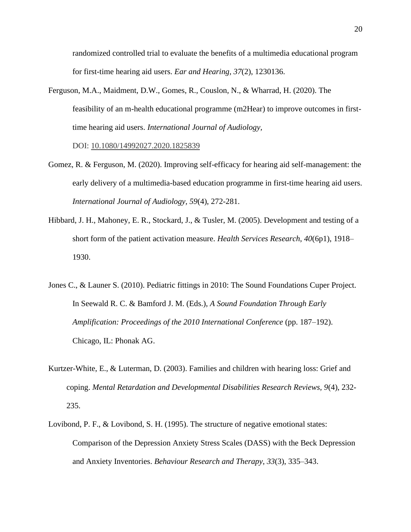randomized controlled trial to evaluate the benefits of a multimedia educational program for first-time hearing aid users. *Ear and Hearing, 37*(2), 1230136.

Ferguson, M.A., Maidment, D.W., Gomes, R., Couslon, N., & Wharrad, H. (2020). The feasibility of an m-health educational programme (m2Hear) to improve outcomes in firsttime hearing aid users. *International Journal of Audiology,* 

DOI: [10.1080/14992027.2020.1825839](https://doi.org/10.1080/14992027.2020.1825839)

- Gomez, R. & Ferguson, M. (2020). Improving self-efficacy for hearing aid self-management: the early delivery of a multimedia-based education programme in first-time hearing aid users. *International Journal of Audiology, 59*(4), 272-281.
- Hibbard, J. H., Mahoney, E. R., Stockard, J., & Tusler, M. (2005). Development and testing of a short form of the patient activation measure. *Health Services Research*, *40*(6p1), 1918– 1930.
- Jones C., & Launer S. (2010). Pediatric fittings in 2010: The Sound Foundations Cuper Project. In Seewald R. C. & Bamford J. M. (Eds.), *A Sound Foundation Through Early Amplification: Proceedings of the 2010 International Conference* (pp. 187–192). Chicago, IL: Phonak AG.
- Kurtzer-White, E., & Luterman, D. (2003). Families and children with hearing loss: Grief and coping. *Mental Retardation and Developmental Disabilities Research Reviews, 9*(4), 232- 235.
- Lovibond, P. F., & Lovibond, S. H. (1995). The structure of negative emotional states: Comparison of the Depression Anxiety Stress Scales (DASS) with the Beck Depression and Anxiety Inventories. *Behaviour Research and Therapy*, *33*(3), 335–343.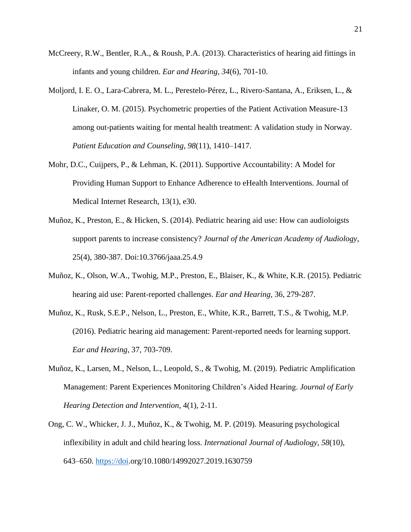- McCreery, R.W., Bentler, R.A., & Roush, P.A. (2013). Characteristics of hearing aid fittings in infants and young children. *Ear and Hearing, 34*(6), 701-10.
- Moljord, I. E. O., Lara-Cabrera, M. L., Perestelo-Pérez, L., Rivero-Santana, A., Eriksen, L., & Linaker, O. M. (2015). Psychometric properties of the Patient Activation Measure-13 among out-patients waiting for mental health treatment: A validation study in Norway. *Patient Education and Counseling*, *98*(11), 1410–1417.
- Mohr, D.C., Cuijpers, P., & Lehman, K. (2011). Supportive Accountability: A Model for Providing Human Support to Enhance Adherence to eHealth Interventions. Journal of Medical Internet Research, 13(1), e30.
- Muñoz, K., Preston, E., & Hicken, S. (2014). Pediatric hearing aid use: How can audioloigsts support parents to increase consistency? *Journal of the American Academy of Audiology*, 25(4), 380-387. Doi:10.3766/jaaa.25.4.9
- Muñoz, K., Olson, W.A., Twohig, M.P., Preston, E., Blaiser, K., & White, K.R. (2015). Pediatric hearing aid use: Parent-reported challenges. *Ear and Hearing*, 36, 279-287.
- Muñoz, K., Rusk, S.E.P., Nelson, L., Preston, E., White, K.R., Barrett, T.S., & Twohig, M.P. (2016). Pediatric hearing aid management: Parent-reported needs for learning support. *Ear and Hearing*, 37, 703-709.
- Muñoz, K., Larsen, M., Nelson, L., Leopold, S., & Twohig, M. (2019). Pediatric Amplification Management: Parent Experiences Monitoring Children's Aided Hearing. *Journal of Early Hearing Detection and Intervention*, 4(1), 2-11.
- Ong, C. W., Whicker, J. J., Muñoz, K., & Twohig, M. P. (2019). Measuring psychological inflexibility in adult and child hearing loss. *International Journal of Audiology*, *58*(10), 643–650. [https://doi.](https://doi/)org/10.1080/14992027.2019.1630759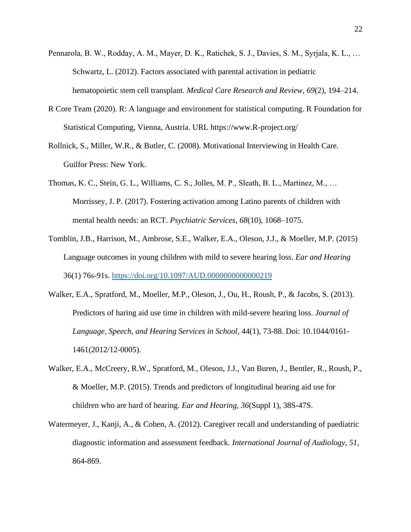- Pennarola, B. W., Rodday, A. M., Mayer, D. K., Ratichek, S. J., Davies, S. M., Syrjala, K. L., … Schwartz, L. (2012). Factors associated with parental activation in pediatric hematopoietic stem cell transplant. *Medical Care Research and Review*, *69*(2), 194–214.
- R Core Team (2020). R: A language and environment for statistical computing. R Foundation for Statistical Computing, Vienna, Austria. URL https://www.R-project.org/
- Rollnick, S., Miller, W.R., & Butler, C. (2008). Motivational Interviewing in Health Care. Guilfor Press: New York.
- Thomas, K. C., Stein, G. L., Williams, C. S., Jolles, M. P., Sleath, B. L., Martinez, M., … Morrissey, J. P. (2017). Fostering activation among Latino parents of children with mental health needs: an RCT. *Psychiatric Services*, *68*(10), 1068–1075.
- Tomblin, J.B., Harrison, M., Ambrose, S.E., Walker, E.A., Oleson, J.J., & Moeller, M.P. (2015) Language outcomes in young children with mild to severe hearing loss. *Ear and Hearing* 36(1) 76s-91s.<https://doi.org/10.1097/AUD.0000000000000219>
- Walker, E.A., Spratford, M., Moeller, M.P., Oleson, J., Ou, H., Roush, P., & Jacobs, S. (2013). Predictors of haring aid use time in children with mild-severe hearing loss. *Journal of Language, Speech, and Hearing Services in School*, 44(1), 73-88. Doi: 10.1044/0161- 1461(2012/12-0005).
- Walker, E.A., McCreery, R.W., Spratford, M., Oleson, J.J., Van Buren, J., Bentler, R., Roush, P., & Moeller, M.P. (2015). Trends and predictors of longitudinal hearing aid use for children who are hard of hearing. *Ear and Hearing, 36*(Suppl 1), 38S-47S.
- Watermeyer, J., Kanji, A., & Cohen, A. (2012). Caregiver recall and understanding of paediatric diagnostic information and assessment feedback. *International Journal of Audiology, 51,*  864-869.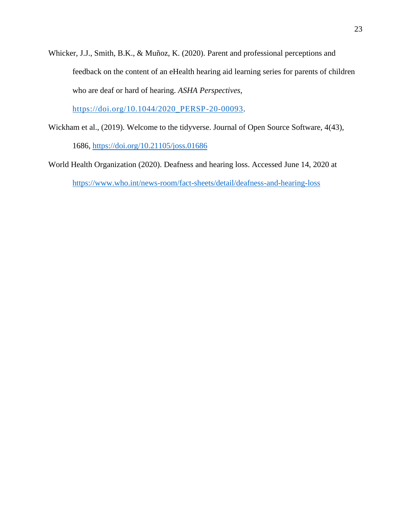Whicker, J.J., Smith, B.K., & Muñoz, K. (2020). Parent and professional perceptions and feedback on the content of an eHealth hearing aid learning series for parents of children who are deaf or hard of hearing. *ASHA Perspectives,*

[https://doi.org/10.1044/2020\\_PERSP-20-00093.](https://doi.org/10.1044/2020_PERSP-20-00093)

Wickham et al., (2019). Welcome to the tidyverse. Journal of Open Source Software, 4(43),

1686,<https://doi.org/10.21105/joss.01686>

World Health Organization (2020). Deafness and hearing loss. Accessed June 14, 2020 at <https://www.who.int/news-room/fact-sheets/detail/deafness-and-hearing-loss>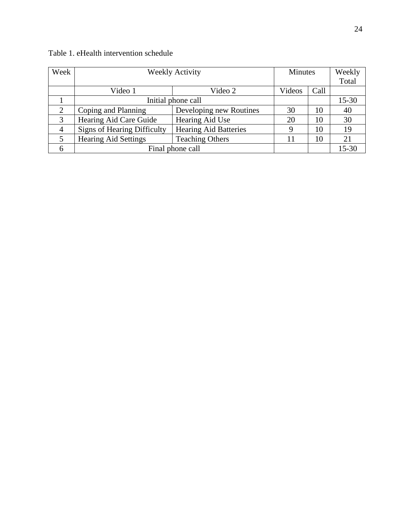| Week           | <b>Weekly Activity</b>             |                              | <b>Minutes</b> |      | Weekly<br>Total |
|----------------|------------------------------------|------------------------------|----------------|------|-----------------|
|                | Video 1                            | Video 2                      | Videos         | Call |                 |
|                | Initial phone call                 |                              |                |      | $15 - 30$       |
| $\overline{2}$ | Coping and Planning                | Developing new Routines      | 30             | 10   | 40              |
| 3              | Hearing Aid Care Guide             | Hearing Aid Use              | 20             | 10   | 30              |
| $\overline{4}$ | <b>Signs of Hearing Difficulty</b> | <b>Hearing Aid Batteries</b> |                | 10   | 19              |
| 5              | <b>Hearing Aid Settings</b>        | <b>Teaching Others</b>       |                | 10   | 21              |
| 6              |                                    | Final phone call             |                |      | $15 - 30$       |

# Table 1. eHealth intervention schedule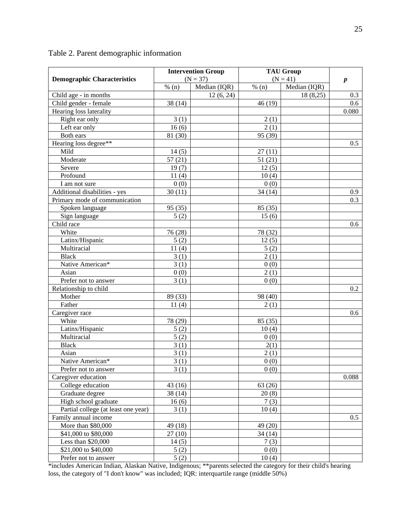|                                     |                   | <b>Intervention Group</b> |         | <b>TAU Group</b> |                  |
|-------------------------------------|-------------------|---------------------------|---------|------------------|------------------|
| <b>Demographic Characteristics</b>  |                   | $(N = 37)$                |         | $(N = 41)$       | $\boldsymbol{p}$ |
|                                     | % (n)             | Median (IQR)              | % $(n)$ | Median (IQR)     |                  |
| Child age - in months               |                   | 12(6, 24)                 |         | 18(8,25)         | 0.3              |
| Child gender - female               | 38(14)            |                           | 46 (19) |                  | 0.6              |
| Hearing loss laterality             |                   |                           |         |                  | 0.080            |
| Right ear only                      | 3(1)              |                           | 2(1)    |                  |                  |
| Left ear only                       | 16(6)             |                           | 2(1)    |                  |                  |
| Both ears                           | 81 (30)           |                           | 95 (39) |                  |                  |
| Hearing loss degree**               |                   |                           |         |                  | 0.5              |
| Mild                                | 14(5)             |                           | 27(11)  |                  |                  |
| Moderate                            | 57(21)            |                           | 51(21)  |                  |                  |
| Severe                              | 19(7)             |                           | 12(5)   |                  |                  |
| Profound                            | 11(4)             |                           | 10(4)   |                  |                  |
| I am not sure                       | 0(0)              |                           | 0(0)    |                  |                  |
| Additional disabilities - yes       | 30(11)            |                           | 34(14)  |                  | 0.9              |
| Primary mode of communication       |                   |                           |         |                  | 0.3              |
| Spoken language                     | 95 (35)           |                           | 85 (35) |                  |                  |
| Sign language                       | 5(2)              |                           | 15(6)   |                  |                  |
| Child race                          |                   |                           |         |                  | 0.6              |
| White                               | 76 (28)           |                           | 78 (32) |                  |                  |
| Latinx/Hispanic                     | 5(2)              |                           | 12(5)   |                  |                  |
| Multiracial                         | 11(4)             |                           | 5(2)    |                  |                  |
| <b>Black</b>                        | 3(1)              |                           | 2(1)    |                  |                  |
| Native American*                    | 3(1)              |                           | 0(0)    |                  |                  |
| Asian                               | 0(0)              |                           | 2(1)    |                  |                  |
| Prefer not to answer                | 3(1)              |                           | 0(0)    |                  |                  |
| Relationship to child               |                   |                           |         |                  | 0.2              |
| Mother                              | 89 (33)           |                           | 98 (40) |                  |                  |
| Father                              | 11(4)             |                           | 2(1)    |                  |                  |
| Caregiver race                      |                   |                           |         |                  | 0.6              |
| White                               | 78 (29)           |                           | 85 (35) |                  |                  |
| Latinx/Hispanic                     | 5(2)              |                           | 10(4)   |                  |                  |
| Multiracial                         | 5(2)              |                           | 0(0)    |                  |                  |
| <b>Black</b>                        | 3(1)              |                           | 2(1)    |                  |                  |
| Asian                               | 3(1)              |                           | 2(1)    |                  |                  |
| Native American*                    | $\overline{3}(1)$ |                           | 0(0)    |                  |                  |
| Prefer not to answer                | 3(1)              |                           | 0(0)    |                  |                  |
| Caregiver education                 |                   |                           |         |                  | 0.088            |
| College education                   | 43(16)            |                           | 63 (26) |                  |                  |
| Graduate degree                     | 38 (14)           |                           | 20(8)   |                  |                  |
| High school graduate                | 16(6)             |                           | 7(3)    |                  |                  |
| Partial college (at least one year) | 3(1)              |                           | 10(4)   |                  |                  |
| Family annual income                |                   |                           |         |                  | 0.5              |
| More than \$80,000                  | 49 (18)           |                           | 49 (20) |                  |                  |
| \$41,000 to \$80,000                | 27(10)            |                           | 34(14)  |                  |                  |
| Less than $$20,000$                 | 14(5)             |                           | 7(3)    |                  |                  |
| \$21,000 to \$40,000                | 5(2)              |                           | 0(0)    |                  |                  |
| Prefer not to answer                | 5(2)              |                           | 10(4)   |                  |                  |

# Table 2. Parent demographic information

\*includes American Indian, Alaskan Native, Indigenous; \*\*parents selected the category for their child's hearing loss, the category of "I don't know" was included; IQR: interquartile range (middle 50%)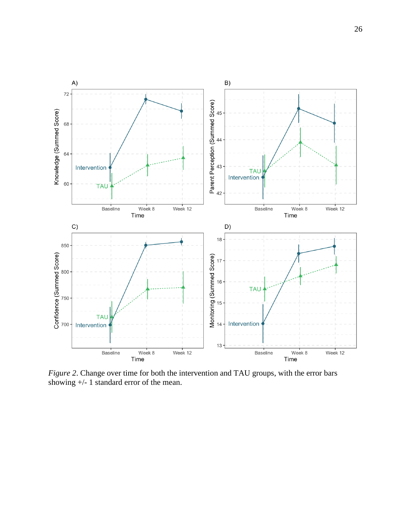

*Figure 2*. Change over time for both the intervention and TAU groups, with the error bars showing +/- 1 standard error of the mean.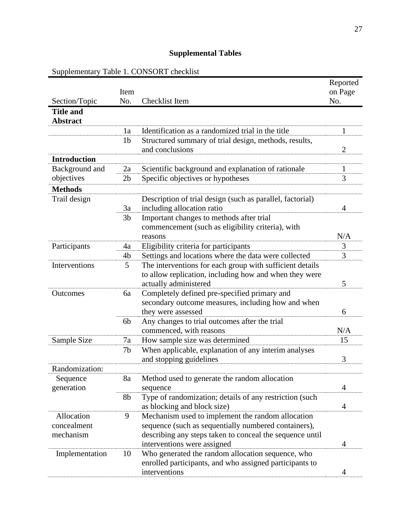# **Supplemental Tables**

Supplementary Table 1. CONSORT checklist

|                     |                |                                                           | Reported       |
|---------------------|----------------|-----------------------------------------------------------|----------------|
|                     | Item           |                                                           | on Page        |
| Section/Topic       | No.            | Checklist Item                                            | No.            |
| <b>Title and</b>    |                |                                                           |                |
| <b>Abstract</b>     |                |                                                           |                |
|                     | 1a             | Identification as a randomized trial in the title         | 1              |
|                     | 1 <sub>b</sub> | Structured summary of trial design, methods, results,     |                |
|                     |                | and conclusions                                           | $\overline{2}$ |
| <b>Introduction</b> |                |                                                           |                |
| Background and      | 2a             | Scientific background and explanation of rationale        | $\mathbf{1}%$  |
| objectives          | 2 <sub>b</sub> | Specific objectives or hypotheses                         | 3              |
| <b>Methods</b>      |                |                                                           |                |
| Trail design        |                | Description of trial design (such as parallel, factorial) |                |
|                     | 3a             | including allocation ratio                                | 4              |
|                     | 3 <sub>b</sub> | Important changes to methods after trial                  |                |
|                     |                | commencement (such as eligibility criteria), with         |                |
|                     |                | reasons                                                   | N/A            |
| Participants        | 4a             | Eligibility criteria for participants                     | 3              |
|                     | 4b             | Settings and locations where the data were collected      | 3              |
| Interventions       | 5              | The interventions for each group with sufficient details  |                |
|                     |                | to allow replication, including how and when they were    |                |
|                     |                | actually administered                                     | 5              |
| Outcomes            | 6a             | Completely defined pre-specified primary and              |                |
|                     |                | secondary outcome measures, including how and when        |                |
|                     |                | they were assessed                                        | 6              |
|                     | 6 <sub>b</sub> | Any changes to trial outcomes after the trial             |                |
|                     |                | commenced, with reasons                                   | N/A            |
| Sample Size         | 7a             | How sample size was determined                            | 15             |
|                     | 7b             | When applicable, explanation of any interim analyses      |                |
|                     |                | and stopping guidelines                                   | 3              |
| Randomization:      |                |                                                           |                |
| Sequence            | 8a             | Method used to generate the random allocation             |                |
| generation          |                | sequence                                                  | 4              |
|                     | 8b             | Type of randomization; details of any restriction (such   |                |
|                     |                | as blocking and block size)                               | 4              |
| Allocation          | 9              | Mechanism used to implement the random allocation         |                |
| concealment         |                | sequence (such as sequentially numbered containers),      |                |
| mechanism           |                | describing any steps taken to conceal the sequence until  |                |
|                     |                | interventions were assigned                               | 4              |
| Implementation      | 10             | Who generated the random allocation sequence, who         |                |
|                     |                | enrolled participants, and who assigned participants to   |                |
|                     |                | interventions                                             | 4              |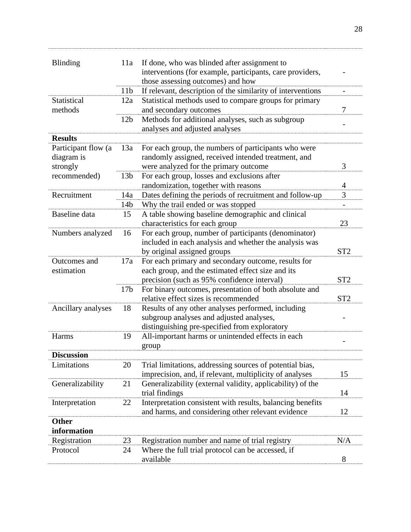| <b>Blinding</b>     | 11a             | If done, who was blinded after assignment to                |                          |
|---------------------|-----------------|-------------------------------------------------------------|--------------------------|
|                     |                 | interventions (for example, participants, care providers,   |                          |
|                     |                 | those assessing outcomes) and how                           |                          |
|                     | 11 <sub>b</sub> | If relevant, description of the similarity of interventions | -                        |
| Statistical         | 12a             | Statistical methods used to compare groups for primary      |                          |
| methods             |                 | and secondary outcomes                                      | 7                        |
|                     | 12 <sub>b</sub> | Methods for additional analyses, such as subgroup           | -                        |
|                     |                 | analyses and adjusted analyses                              |                          |
| <b>Results</b>      |                 |                                                             |                          |
| Participant flow (a | 13a             | For each group, the numbers of participants who were        |                          |
| diagram is          |                 | randomly assigned, received intended treatment, and         |                          |
| strongly            |                 | were analyzed for the primary outcome                       | 3                        |
| recommended)        | 13 <sub>b</sub> | For each group, losses and exclusions after                 |                          |
|                     |                 | randomization, together with reasons                        | 4                        |
| Recruitment         | 14a             | Dates defining the periods of recruitment and follow-up     | 3                        |
|                     | 14b             | Why the trail ended or was stopped                          | $\overline{\phantom{0}}$ |
| Baseline data       | 15              | A table showing baseline demographic and clinical           |                          |
|                     |                 | characteristics for each group                              | 23                       |
| Numbers analyzed    | 16              | For each group, number of participants (denominator)        |                          |
|                     |                 | included in each analysis and whether the analysis was      |                          |
|                     |                 | by original assigned groups                                 | ST <sub>2</sub>          |
| Outcomes and        | 17a             | For each primary and secondary outcome, results for         |                          |
| estimation          |                 | each group, and the estimated effect size and its           |                          |
|                     |                 | precision (such as 95% confidence interval)                 | ST <sub>2</sub>          |
|                     | 17 <sub>b</sub> | For binary outcomes, presentation of both absolute and      |                          |
|                     |                 | relative effect sizes is recommended                        | ST <sub>2</sub>          |
| Ancillary analyses  | 18              | Results of any other analyses performed, including          |                          |
|                     |                 | subgroup analyses and adjusted analyses,                    |                          |
|                     |                 | distinguishing pre-specified from exploratory               |                          |
| Harms               | 19              | All-important harms or unintended effects in each           |                          |
|                     |                 | group                                                       |                          |
| <b>Discussion</b>   |                 |                                                             |                          |
| Limitations         | 20              | Trial limitations, addressing sources of potential bias,    |                          |
|                     |                 | imprecision, and, if relevant, multiplicity of analyses     | 15                       |
| Generalizability    | 21              | Generalizability (external validity, applicability) of the  |                          |
|                     |                 | trial findings                                              | 14                       |
| Interpretation      | 22              | Interpretation consistent with results, balancing benefits  |                          |
|                     |                 | and harms, and considering other relevant evidence          | 12                       |
| <b>Other</b>        |                 |                                                             |                          |
| information         |                 |                                                             |                          |
| Registration        | 23              | Registration number and name of trial registry              | N/A                      |
| Protocol            | 24              | Where the full trial protocol can be accessed, if           |                          |
|                     |                 | available                                                   | 8                        |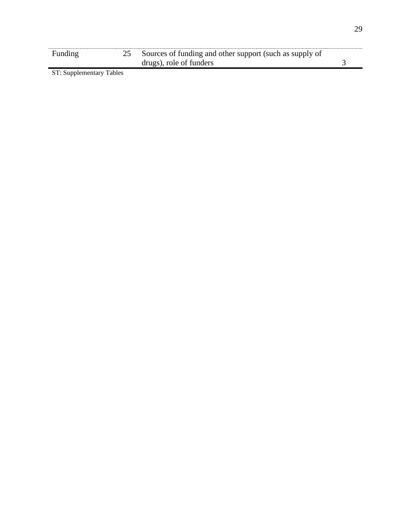| Funding | Sources of funding and other support (such as supply of |  |
|---------|---------------------------------------------------------|--|
|         | drugs), role of funders                                 |  |

ST: Supplementary Tables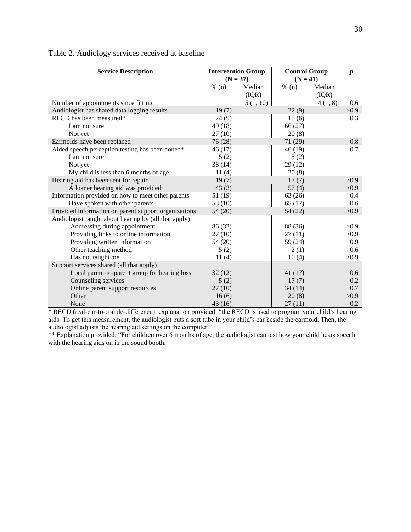| <b>Service Description</b>                           | <b>Intervention Group</b><br>$(N = 37)$ |          | <b>Control Group</b><br>$(N = 41)$ | $\boldsymbol{p}$ |      |
|------------------------------------------------------|-----------------------------------------|----------|------------------------------------|------------------|------|
|                                                      | % (n)                                   | Median   | % (n)                              | Median           |      |
|                                                      |                                         | (IQR)    |                                    | (IQR)            |      |
| Number of appointments since fitting                 |                                         | 5(1, 10) |                                    | 4(1, 8)          | 0.6  |
| Audiologist has shared data logging results          | 19(7)                                   |          | 22(9)                              |                  | >0.9 |
| RECD has been measured*                              | 24(9)                                   |          | 15(6)                              |                  | 0.3  |
| I am not sure                                        | 49 (18)                                 |          | 66(27)                             |                  |      |
| Not yet                                              | 27(10)                                  |          | 20(8)                              |                  |      |
| Earmolds have been replaced                          | 76(28)                                  |          | 71 (29)                            |                  | 0.8  |
| Aided speech perception testing has been done**      | 46(17)                                  |          | 46 (19)                            |                  | 0.7  |
| I am not sure                                        | 5(2)                                    |          | 5(2)                               |                  |      |
| Not yet                                              | 38(14)                                  |          | 29(12)                             |                  |      |
| My child is less than 6 months of age                | 11(4)                                   |          | 20(8)                              |                  |      |
| Hearing aid has been sent for repair                 | 19(7)                                   |          | 17(7)                              |                  | >0.9 |
| A loaner hearing aid was provided                    | 43(3)                                   |          | 57(4)                              |                  | >0.9 |
| Information provided on how to meet other parents    | 51 (19)                                 |          | 63(26)                             |                  | 0.4  |
| Have spoken with other parents                       | 53 $(10)$                               |          | 65(17)                             |                  | 0.6  |
| Provided information on parent support organizations | 54 (20)                                 |          | 54 (22)                            |                  | >0.9 |
| Audiologist taught about hearing by (all that apply) |                                         |          |                                    |                  |      |
| Addressing during appointment                        | 86 (32)                                 |          | 88 (36)                            |                  | >0.9 |
| Providing links to online information                | 27(10)                                  |          | 27(11)                             |                  | >0.9 |
| Providing written information                        | 54 (20)                                 |          | 59 (24)                            |                  | 0.9  |
| Other teaching method                                | 5(2)                                    |          | 2(1)                               |                  | 0.6  |
| Has not taught me                                    | 11(4)                                   |          | 10(4)                              |                  | >0.9 |
| Support services shared (all that apply)             |                                         |          |                                    |                  |      |
| Local parent-to-parent group for hearing loss        | 32(12)                                  |          | 41(17)                             |                  | 0.6  |
| Counseling services                                  | 5(2)                                    |          | 17(7)                              |                  | 0.2  |
| Online parent support resources                      | 27(10)                                  |          | 34(14)                             |                  | 0.7  |
| Other                                                | 16(6)                                   |          | 20(8)                              |                  | >0.9 |
| None                                                 | 43(16)                                  |          | 27(11)                             |                  | 0.2  |

Table 2. Audiology services received at baseline

\* RECD (real-ear-to-couple-difference); explanation provided: "the RECD is used to program your child's hearing aids. To get this measurement, the audiologist puts a soft tube in your child's ear beside the earmold. Then, the audiologist adjusts the hearing aid settings on the computer."

\*\* Explanation provided: "For children over 6 months of age, the audiologist can test how your child hears speech with the hearing aids on in the sound booth.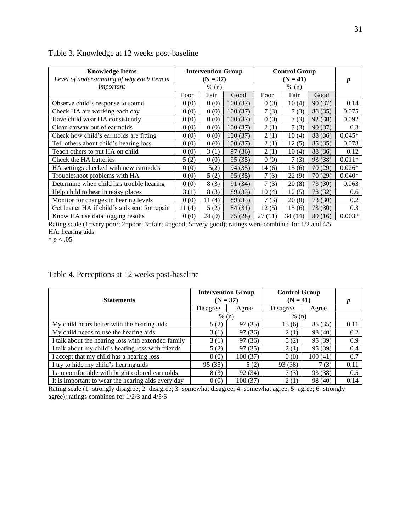| <b>Knowledge Items</b><br>Level of understanding of why each item is |           | <b>Intervention Group</b><br>$(N = 37)$ |         |        | <b>Control Group</b><br>$(N = 41)$ |         |          |
|----------------------------------------------------------------------|-----------|-----------------------------------------|---------|--------|------------------------------------|---------|----------|
| important                                                            | % (n)     |                                         | % (n)   |        |                                    | p       |          |
|                                                                      | Poor      | Fair                                    | Good    | Poor   | Fair                               | Good    |          |
| Observe child's response to sound                                    | 0(0)      | 0(0)                                    | 100(37) | 0(0)   | 10(4)                              | 90(37)  | 0.14     |
| Check HA are working each day                                        | 0(0)      | 0(0)                                    | 100(37) | 7(3)   | 7(3)                               | 86(35)  | 0.075    |
| Have child wear HA consistently                                      | 0(0)      | 0(0)                                    | 100(37) | 0(0)   | 7(3)                               | 92(30)  | 0.092    |
| Clean earwax out of earmolds                                         | 0(0)      | 0(0)                                    | 100(37) | 2(1)   | 7(3)                               | 90(37)  | 0.3      |
| Check how child's earmolds are fitting                               | 0(0)      | 0(0)                                    | 100(37) | 2(1)   | 10(4)                              | 88 (36) | $0.045*$ |
| Tell others about child's hearing loss                               | 0(0)      | 0(0)                                    | 100(37) | 2(1)   | 12(5)                              | 85(35)  | 0.078    |
| Teach others to put HA on child                                      | 0(0)      | 3(1)                                    | 97 (36) | 2(1)   | 10(4)                              | 88 (36) | 0.12     |
| Check the HA batteries                                               | 5(2)      | 0(0)                                    | 95(35)  | 0(0)   | 7(3)                               | 93 (38) | $0.011*$ |
| HA settings checked with new earmolds                                | 0(0)      | 5(2)                                    | 94(35)  | 14(6)  | 15(6)                              | 70(29)  | $0.026*$ |
| Troubleshoot problems with HA                                        | 0(0)      | 5(2)                                    | 95(35)  | 7(3)   | 22(9)                              | 70(29)  | $0.040*$ |
| Determine when child has trouble hearing                             | 0(0)      | 8(3)                                    | 91 (34) | 7(3)   | 20(8)                              | 73 (30) | 0.063    |
| Help child to hear in noisy places                                   | 3(1)      | 8(3)                                    | 89 (33) | 10(4)  | 12(5)                              | 78 (32) | 0.6      |
| Monitor for changes in hearing levels                                | 0(0)      | 11(4)                                   | 89 (33) | 7(3)   | 20(8)                              | 73 (30) | 0.2      |
| Get loaner HA if child's aids sent for repair                        | (4)<br>11 | 5(2)                                    | 84 (31) | 12(5)  | 15(6)                              | 73 (30) | 0.3      |
| Know HA use data logging results                                     | 0(0)      | 24(9)                                   | 75 (28) | 27(11) | 34(14)                             | 39(16)  | $0.003*$ |

| Table 3. Knowledge at 12 weeks post-baseline |  |  |  |
|----------------------------------------------|--|--|--|
|----------------------------------------------|--|--|--|

Rating scale (1=very poor; 2=poor; 3=fair; 4=good; 5=very good); ratings were combined for 1/2 and 4/5 HA: hearing aids

 $* p < .05$ 

# Table 4. Perceptions at 12 weeks post-baseline

| <b>Statements</b>                                  |          | <b>Intervention Group</b><br>$(N = 37)$ | <b>Control Group</b><br>$(N = 41)$ | p       |      |
|----------------------------------------------------|----------|-----------------------------------------|------------------------------------|---------|------|
|                                                    | Disagree | Agree                                   | Disagree                           | Agree   |      |
|                                                    | % (n)    |                                         | % (n)                              |         |      |
| My child hears better with the hearing aids        | 5(2)     | 97 (35)                                 | 15(6)                              | 85 (35) | 0.11 |
| My child needs to use the hearing aids             | 3(1)     | 97 (36)                                 | 2(1)                               | 98 (40) | 0.2  |
| I talk about the hearing loss with extended family | 3(1)     | 97 (36)                                 | 5(2)                               | 95 (39) | 0.9  |
| I talk about my child's hearing loss with friends  | 5(2)     | 97 (35)                                 | 2(1)                               | 95 (39) | 0.4  |
| I accept that my child has a hearing loss          | 0(0)     | 100(37)                                 | 0(0)                               | 100(41) | 0.7  |
| I try to hide my child's hearing aids              | 95(35)   | 5(2)                                    | 93 (38)                            | 7(3)    | 0.11 |
| I am comfortable with bright colored earmolds      | 8(3)     | 92 (34)                                 | 7(3)                               | 93 (38) | 0.5  |
| It is important to wear the hearing aids every day | 0(0)     | 100(37)                                 | 2(1)                               | 98 (40) | 0.14 |

Rating scale (1=strongly disagree; 2=disagree; 3=somewhat disagree; 4=somewhat agree; 5=agree; 6=strongly agree); ratings combined for 1/2/3 and 4/5/6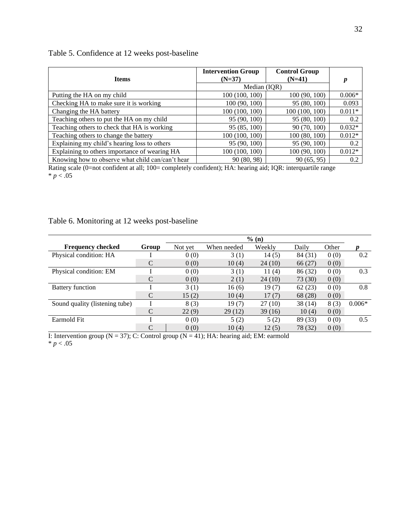| <b>Items</b>                                     | <b>Intervention Group</b><br>$(N=37)$ | <b>Control Group</b><br>$(N=41)$ | $\boldsymbol{p}$ |
|--------------------------------------------------|---------------------------------------|----------------------------------|------------------|
|                                                  | Median (IQR)                          |                                  |                  |
| Putting the HA on my child                       | 100(100, 100)                         | 100(90, 100)                     | $0.006*$         |
| Checking HA to make sure it is working           | 100(90, 100)                          | 95 (80, 100)                     | 0.093            |
| Changing the HA battery                          | 100(100, 100)                         | 100 (100, 100)                   | $0.011*$         |
| Teaching others to put the HA on my child        | 95 (90, 100)                          | 95 (80, 100)                     | 0.2              |
| Teaching others to check that HA is working      | 95 (85, 100)                          | 90 (70, 100)                     | $0.032*$         |
| Teaching others to change the battery            | 100 (100, 100)                        | 100(80, 100)                     | $0.012*$         |
| Explaining my child's hearing loss to others     | 95 (90, 100)                          | 95 (90, 100)                     | 0.2              |
| Explaining to others importance of wearing HA    | 100 (100, 100)                        | 100 (90, 100)                    | $0.012*$         |
| Knowing how to observe what child can/can't hear | 90 (80, 98)                           | 90 (65, 95)                      | 0.2              |

# Table 5. Confidence at 12 weeks post-baseline

Rating scale (0=not confident at all; 100= completely confident); HA: hearing aid; IQR: interquartile range  $* p < .05$ 

### Table 6. Monitoring at 12 weeks post-baseline

|                                |       |         |             | % (n)    |         |       |          |
|--------------------------------|-------|---------|-------------|----------|---------|-------|----------|
| <b>Frequency checked</b>       | Group | Not yet | When needed | Weekly   | Daily   | Other |          |
| Physical condition: HA         |       | 0(0)    | 3(1)        | 14(5)    | 84 (31) | 0(0)  | 0.2      |
|                                |       | 0(0)    | 10(4)       | 24 (10)  | 66 (27) | 0(0)  |          |
| Physical condition: EM         |       | 0(0)    | 3(1)        | 11 $(4)$ | 86 (32) | 0(0)  | 0.3      |
|                                |       | 0(0)    | 2(1)        | 24 (10)  | 73 (30) | 0(0)  |          |
| <b>Battery function</b>        |       | 3(1)    | 16(6)       | 19(7)    | 62(23)  | 0(0)  | 0.8      |
|                                |       | 15(2)   | 10(4)       | 17(7)    | 68 (28) | 0(0)  |          |
| Sound quality (listening tube) |       | 8(3)    | 19(7)       | 27(10)   | 38 (14) | 8(3)  | $0.006*$ |
|                                |       | 22(9)   | 29(12)      | 39(16)   | 10(4)   | 0(0)  |          |
| Earmold Fit                    |       | 0(0)    | 5(2)        | 5(2)     | 89 (33) | 0(0)  | 0.5      |
|                                | C     | 0(0)    | 10(4)       | 12(5)    | 78 (32) | 0(0)  |          |

I: Intervention group ( $N = 37$ ); C: Control group ( $N = 41$ ); HA: hearing aid; EM: earmold  $* p < .05$